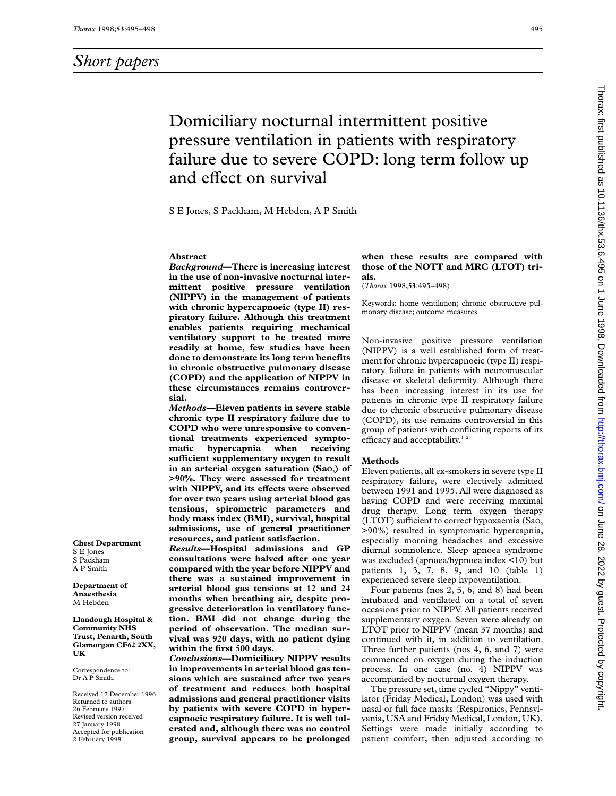# Domiciliary nocturnal intermittent positive pressure ventilation in patients with respiratory failure due to severe COPD: long term follow up and effect on survival

S E Jones, S Packham, M Hebden, A P Smith

#### **Abstract**

*Background***—There is increasing interest in the use of non-invasive nocturnal intermittent positive pressure ventilation (NIPPV) in the management of patients with chronic hypercapnoeic (type II) respiratory failure. Although this treatment enables patients requiring mechanical ventilatory support to be treated more readily at home, few studies have been done to demonstrate its long term benefits in chronic obstructive pulmonary disease (COPD) and the application of NIPPV in these circumstances remains controversial.**

*Methods***—Eleven patients in severe stable chronic type II respiratory failure due to COPD who were unresponsive to conventional treatments experienced symptomatic hypercapnia when receiving suYcient supplementary oxygen to result** in an arterial oxygen saturation (Sao<sub>2</sub>) of **>90%. They were assessed for treatment** with NIPPV, and its effects were observed **for over two years using arterial blood gas tensions, spirometric parameters and body mass index (BMI), survival, hospital admissions, use of general practitioner resources, and patient satisfaction.**

*Results***—Hospital admissions and GP consultations were halved after one year compared with the year before NIPPV and there was a sustained improvement in arterial blood gas tensions at 12 and 24 months when breathing air, despite progressive deterioration in ventilatory function. BMI did not change during the period of observation. The median survival was 920 days, with no patient dying within the first 500 days.**

*Conclusions***—Domiciliary NIPPV results in improvements in arterial blood gas tensions which are sustained after two years of treatment and reduces both hospital admissions and general practitioner visits by patients with severe COPD in hypercapnoeic respiratory failure. It is well tolerated and, although there was no control group, survival appears to be prolonged**

## **when these results are compared with those of the NOTT and MRC (LTOT) trials.**

(*Thorax* 1998;**53**:495–498)

Keywords: home ventilation; chronic obstructive pulmonary disease; outcome measures

Non-invasive positive pressure ventilation (NIPPV) is a well established form of treatment for chronic hypercapnoeic (type II) respiratory failure in patients with neuromuscular disease or skeletal deformity. Although there has been increasing interest in its use for patients in chronic type II respiratory failure due to chronic obstructive pulmonary disease (COPD), its use remains controversial in this group of patients with conflicting reports of its efficacy and acceptability.<sup>12</sup>

#### **Methods**

Eleven patients, all ex-smokers in severe type II respiratory failure, were electively admitted between 1991 and 1995. All were diagnosed as having COPD and were receiving maximal drug therapy. Long term oxygen therapy (LTOT) sufficient to correct hypoxaemia (Sao, >90%) resulted in symptomatic hypercapnia, especially morning headaches and excessive diurnal somnolence. Sleep apnoea syndrome was excluded (apnoea/hypnoea index <10) but patients 1, 3, 7, 8, 9, and 10 (table 1) experienced severe sleep hypoventilation.

Four patients (nos 2, 5, 6, and 8) had been intubated and ventilated on a total of seven occasions prior to NIPPV. All patients received supplementary oxygen. Seven were already on LTOT prior to NIPPV (mean 37 months) and continued with it, in addition to ventilation. Three further patients (nos 4, 6, and 7) were commenced on oxygen during the induction process. In one case (no. 4) NIPPV was accompanied by nocturnal oxygen therapy.

The pressure set, time cycled "Nippy" ventilator (Friday Medical, London) was used with nasal or full face masks (Respironics, Pennsylvania, USA and Friday Medical, London, UK). Settings were made initially according to patient comfort, then adjusted according to

**Chest Department** S E Jones S Packham A P Smith

**Department of Anaesthesia** M Hebden

**Llandough Hospital & Community NHS Trust, Penarth, South Glamorgan CF62 2XX, UK**

Correspondence to: Dr A P Smith.

Received 12 December 1996 Returned to authors 26 February 1997 Revised version received 27 January 1998 Accepted for publication 2 February 1998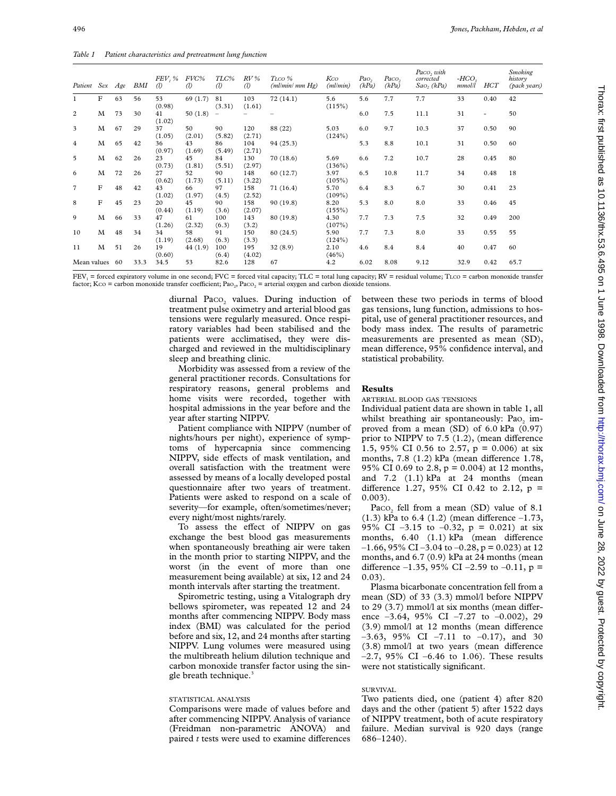| Patient Sex    |             | Age | BMI  | FEV, %<br>$\mathcal{D}$ | FVC%<br>$\mathcal{D}$ | TLC%<br>$\mathcal{D}$    | $RV$ %<br>$\left( l\right)$ | TLCO %<br>(ml/min/mm Hg) | Kco<br>(ml/min)   | Pao,<br>(kPa) | Paco,<br>(kPa) | Paco, with<br>corrected<br>$Sao_2 (kPa)$ | $-HCO2$<br>mmol/l | <b>HCT</b> | <b>Smoking</b><br>history<br>(pack years) |
|----------------|-------------|-----|------|-------------------------|-----------------------|--------------------------|-----------------------------|--------------------------|-------------------|---------------|----------------|------------------------------------------|-------------------|------------|-------------------------------------------|
| 1              | $\mathbf F$ | 63  | 56   | 53<br>(0.98)            | 69 (1.7)              | 81<br>(3.31)             | 103<br>(1.61)               | 72(14.1)                 | 5.6<br>(115%)     | 5.6           | 7.7            | 7.7                                      | 33                | 0.40       | 42                                        |
| 2              | M           | 73  | 30   | 41<br>(1.02)            | 50(1.8)               | $\overline{\phantom{m}}$ |                             |                          |                   | 6.0           | 7.5            | 11.1                                     | 31                | ٠          | 50                                        |
| 3              | M           | 67  | 29   | 37<br>(1.05)            | 50<br>(2.01)          | 90<br>(5.82)             | 120<br>(2.71)               | 88 (22)                  | 5.03<br>(124%)    | 6.0           | 9.7            | 10.3                                     | 37                | 0.50       | 90                                        |
| 4              | M           | 65  | 42   | 36<br>(0.97)            | 43<br>(1.69)          | 86<br>(5.49)             | 104<br>(2.71)               | 94 (25.3)                |                   | 5.3           | 8.8            | 10.1                                     | 31                | 0.50       | 60                                        |
| 5              | M           | 62  | 26   | 23<br>(0.73)            | 45<br>(1.81)          | 84<br>(5.51)             | 130<br>(2.97)               | 70(18.6)                 | 5.69<br>(136%)    | 6.6           | 7.2            | 10.7                                     | 28                | 0.45       | 80                                        |
| 6              | M           | 72  | 26   | 27<br>(0.62)            | 52<br>(1.73)          | 90<br>(5.11)             | 148<br>(3.22)               | 60(12.7)                 | 3.97<br>(105%)    | 6.5           | 10.8           | 11.7                                     | 34                | 0.48       | 18                                        |
| $\overline{7}$ | $\mathbf F$ | 48  | 42   | 43<br>(1.02)            | 66<br>(1.97)          | 97<br>(4.5)              | 158<br>(2.52)               | 71 (16.4)                | 5.70<br>$(109\%)$ | 6.4           | 8.3            | 6.7                                      | 30                | 0.41       | 23                                        |
| 8              | $\mathbf F$ | 45  | 23   | 20<br>(0.44)            | 45<br>(1.19)          | 90<br>(3.6)              | 158<br>(2.07)               | 90 (19.8)                | 8.20<br>(155%)    | 5.3           | 8.0            | 8.0                                      | 33                | 0.46       | 45                                        |
| 9              | M           | 66  | 33   | 47<br>(1.26)            | 61<br>(2.32)          | 100<br>(6.3)             | 143<br>(3.2)                | 80 (19.8)                | 4.30<br>(107%)    | 7.7           | 7.3            | 7.5                                      | 32                | 0.49       | 200                                       |
| 10             | М           | 48  | 34   | 34<br>(1.19)            | 58<br>(2.68)          | 91<br>(6.3)              | 150<br>(3.3)                | 80(24.5)                 | 5.90<br>(124%)    | 7.7           | 7.3            | 8.0                                      | 33                | 0.55       | 55                                        |
| 11             | M           | 51  | 26   | 19<br>(0.60)            | 44 (1.9)              | 100<br>(6.4)             | 195<br>(4.02)               | 32(8.9)                  | 2.10<br>(46%)     | 4.6           | 8.4            | 8.4                                      | 40                | 0.47       | 60                                        |
| Mean values    |             | 60  | 33.3 | 34.5                    | 53                    | 82.6                     | 128                         | 67                       | 4.2               | 6.02          | 8.08           | 9.12                                     | 32.9              | 0.42       | 65.7                                      |

 $FEV_1 =$  forced expiratory volume in one second;  $FVC =$  forced vital capacity; TLC = total lung capacity;  $RV =$  residual volume; TLCO = carbon monoxide transfer factor; Kco = carbon monoxide transfer coefficient; Pao., Paco. = arterial oxygen and carbon dioxide tensions.

> diurnal Paco<sub>2</sub> values. During induction of treatment pulse oximetry and arterial blood gas tensions were regularly measured. Once respiratory variables had been stabilised and the patients were acclimatised, they were discharged and reviewed in the multidisciplinary sleep and breathing clinic.

> Morbidity was assessed from a review of the general practitioner records. Consultations for respiratory reasons, general problems and home visits were recorded, together with hospital admissions in the year before and the year after starting NIPPV.

Patient compliance with NIPPV (number of nights/hours per night), experience of symptoms of hypercapnia since commencing NIPPV, side effects of mask ventilation, and overall satisfaction with the treatment were assessed by means of a locally developed postal questionnaire after two years of treatment. Patients were asked to respond on a scale of severity—for example, often/sometimes/never; every night/most nights/rarely.

To assess the effect of NIPPV on gas exchange the best blood gas measurements when spontaneously breathing air were taken in the month prior to starting NIPPV, and the worst (in the event of more than one measurement being available) at six, 12 and 24 month intervals after starting the treatment.

Spirometric testing, using a Vitalograph dry bellows spirometer, was repeated 12 and 24 months after commencing NIPPV. Body mass index (BMI) was calculated for the period before and six, 12, and 24 months after starting NIPPV. Lung volumes were measured using the multibreath helium dilution technique and carbon monoxide transfer factor using the single breath technique.<sup>3</sup>

#### STATISTICAL ANALYSIS

Comparisons were made of values before and after commencing NIPPV. Analysis of variance (Freidman non-parametric ANOVA) and paired  $t$  tests were used to examine differences between these two periods in terms of blood gas tensions, lung function, admissions to hospital, use of general practitioner resources, and body mass index. The results of parametric measurements are presented as mean (SD), mean difference, 95% confidence interval, and statistical probability.

### **Results**

ARTERIAL BLOOD GAS TENSIONS

Individual patient data are shown in table 1, all whilst breathing air spontaneously: Pao<sub>2</sub> improved from a mean (SD) of 6.0 kPa (0.97) prior to NIPPV to  $7.5$   $(1.2)$ , (mean difference 1.5, 95% CI 0.56 to 2.57, p = 0.006) at six months,  $7.8$  (1.2) kPa (mean difference 1.78, 95% CI 0.69 to 2.8, p = 0.004) at 12 months, and 7.2 (1.1) kPa at 24 months (mean difference 1.27, 95% CI 0.42 to 2.12,  $p =$ 0.003).

Paco<sub>2</sub> fell from a mean (SD) value of 8.1 (1.3) kPa to 6.4 (1.2) (mean difference  $-1.73$ , 95% CI  $-3.15$  to  $-0.32$ ,  $p = 0.021$ ) at six months,  $6.40$   $(1.1)$  kPa (mean difference  $-1.66$ , 95% CI $-3.04$  to  $-0.28$ , p = 0.023) at 12 months, and 6.7 (0.9) kPa at 24 months (mean difference  $-1.35$ , 95% CI  $-2.59$  to  $-0.11$ , p = 0.03).

Plasma bicarbonate concentration fell from a mean (SD) of 33 (3.3) mmol/l before NIPPV to  $29$  (3.7) mmol/l at six months (mean difference  $-3.64$ ,  $95\%$  CI  $-7.27$  to  $-0.002$ ), 29  $(3.9)$  mmol/l at 12 months (mean difference  $-3.63$ ,  $95\%$  CI  $-7.11$  to  $-0.17$ ), and 30  $(3.8)$  mmol/l at two years (mean difference  $-2.7$ , 95% CI  $-6.46$  to 1.06). These results were not statistically significant.

# SURVIVAL

Two patients died, one (patient 4) after 820 days and the other (patient 5) after 1522 days of NIPPV treatment, both of acute respiratory failure. Median survival is 920 days (range 686–1240).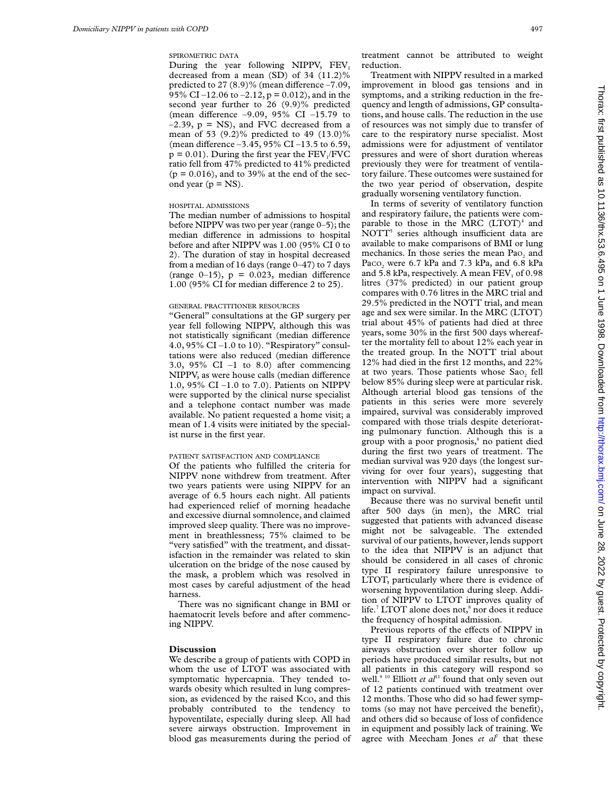SPIROMETRIC DATA

During the year following NIPPV, FEV, decreased from a mean (SD) of 34 (11.2)% predicted to 27  $(8.9)$ % (mean difference  $-7.09$ , 95% CI –12.06 to –2.12,  $p = 0.012$ ), and in the second year further to 26 (9.9)% predicted (mean difference  $-9.09$ ,  $95\%$  CI  $-15.79$  to  $-2.39$ ,  $p = NS$ ), and FVC decreased from a mean of 53 (9.2)% predicted to 49 (13.0)% (mean difference  $-3.45$ , 95% CI  $-13.5$  to 6.59,  $p = 0.01$ ). During the first year the  $FEV<sub>1</sub>/FVC$ ratio fell from 47% predicted to 41% predicted  $(p = 0.016)$ , and to 39% at the end of the second year ( $p = NS$ ).

#### HOSPITAL ADMISSIONS

The median number of admissions to hospital before NIPPV was two per year (range 0–5); the median difference in admissions to hospital before and after NIPPV was 1.00 (95% CI 0 to 2). The duration of stay in hospital decreased from a median of 16 days (range 0–47) to 7 days (range  $0-15$ ),  $p = 0.023$ , median difference  $1.00$  (95% CI for median difference 2 to 25).

#### GENERAL PRACTITIONER RESOURCES

"General" consultations at the GP surgery per year fell following NIPPV, although this was not statistically significant (median difference 4.0, 95% CI $-1.0$  to 10). "Respiratory" consultations were also reduced (median difference 3.0, 95% CI  $-1$  to 8.0) after commencing NIPPV, as were house calls (median difference 1.0, 95% CI –1.0 to 7.0). Patients on NIPPV were supported by the clinical nurse specialist and a telephone contact number was made available. No patient requested a home visit; a mean of 1.4 visits were initiated by the specialist nurse in the first year.

#### PATIENT SATISFACTION AND COMPLIANCE

Of the patients who fulfilled the criteria for NIPPV none withdrew from treatment. After two years patients were using NIPPV for an average of 6.5 hours each night. All patients had experienced relief of morning headache and excessive diurnal somnolence, and claimed improved sleep quality. There was no improvement in breathlessness; 75% claimed to be "very satisfied" with the treatment, and dissatisfaction in the remainder was related to skin ulceration on the bridge of the nose caused by the mask, a problem which was resolved in most cases by careful adjustment of the head harness.

There was no significant change in BMI or haematocrit levels before and after commencing NIPPV.

#### **Discussion**

We describe a group of patients with COPD in whom the use of LTOT was associated with symptomatic hypercapnia. They tended towards obesity which resulted in lung compression, as evidenced by the raised Kco, and this probably contributed to the tendency to hypoventilate, especially during sleep. All had severe airways obstruction. Improvement in blood gas measurements during the period of

treatment cannot be attributed to weight reduction.

Treatment with NIPPV resulted in a marked improvement in blood gas tensions and in symptoms, and a striking reduction in the frequency and length of admissions, GP consultations, and house calls. The reduction in the use of resources was not simply due to transfer of care to the respiratory nurse specialist. Most admissions were for adjustment of ventilator pressures and were of short duration whereas previously they were for treatment of ventilatory failure. These outcomes were sustained for the two year period of observation, despite gradually worsening ventilatory function.

In terms of severity of ventilatory function and respiratory failure, the patients were comparable to those in the MRC  $(LTOT)^4$  and NOTT<sup>5</sup> series although insufficient data are available to make comparisons of BMI or lung mechanics. In those series the mean  $PaO<sub>2</sub>$  and Paco, were 6.7 kPa and 7.3 kPa, and 6.8 kPa and  $5.8$  kPa, respectively. A mean FEV, of 0.98 litres (37% predicted) in our patient group compares with 0.76 litres in the MRC trial and 29.5% predicted in the NOTT trial, and mean age and sex were similar. In the MRC (LTOT) trial about 45% of patients had died at three years, some 30% in the first 500 days whereafter the mortality fell to about 12% each year in the treated group. In the NOTT trial about 12% had died in the first 12 months, and 22% at two years. Those patients whose  $Sao<sub>2</sub>$  fell below 85% during sleep were at particular risk. Although arterial blood gas tensions of the patients in this series were more severely impaired, survival was considerably improved compared with those trials despite deteriorating pulmonary function. Although this is a group with a poor prognosis,<sup>6</sup> no patient died during the first two years of treatment. The median survival was 920 days (the longest surviving for over four years), suggesting that intervention with NIPPV had a significant impact on survival.

Because there was no survival benefit until after 500 days (in men), the MRC trial suggested that patients with advanced disease might not be salvageable. The extended survival of our patients, however, lends support to the idea that NIPPV is an adjunct that should be considered in all cases of chronic type II respiratory failure unresponsive to LTOT, particularly where there is evidence of worsening hypoventilation during sleep. Addition of NIPPV to LTOT improves quality of life.<sup>7</sup> LTOT alone does not,<sup>8</sup> nor does it reduce the frequency of hospital admission.

Previous reports of the effects of NIPPV in type II respiratory failure due to chronic airways obstruction over shorter follow up periods have produced similar results, but not all patients in this category will respond so well.<sup>9 10</sup> Elliott *et al*<sup>11</sup> found that only seven out of 12 patients continued with treatment over 12 months. Those who did so had fewer symptoms (so may not have perceived the benefit), and others did so because of loss of confidence in equipment and possibly lack of training. We agree with Meecham Jones *et al<sup>7</sup>* that these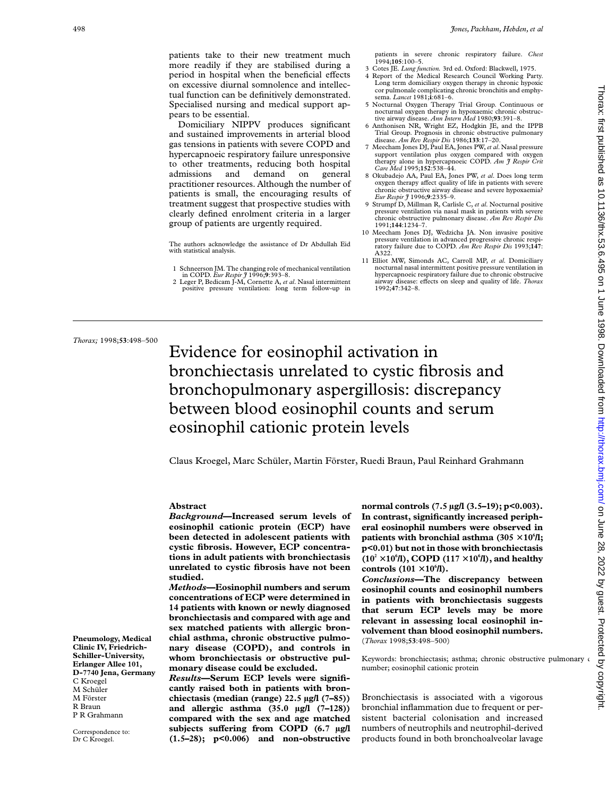patients take to their new treatment much more readily if they are stabilised during a period in hospital when the beneficial effects on excessive diurnal somnolence and intellectual function can be definitively demonstrated. Specialised nursing and medical support appears to be essential.

Domiciliary NIPPV produces significant and sustained improvements in arterial blood gas tensions in patients with severe COPD and hypercapnoeic respiratory failure unresponsive to other treatments, reducing both hospital admissions and demand on general practitioner resources. Although the number of patients is small, the encouraging results of treatment suggest that prospective studies with clearly defined enrolment criteria in a larger group of patients are urgently required.

The authors acknowledge the assistance of Dr Abdullah Eid with statistical analysis.

- 1 Schneerson JM. The changing role of mechanical ventilation
- in COPD. *Eur Respir J* 1996;**9**:393–8. 2 Leger P, Bedicam J-M, Cornette A, *et al*. Nasal intermittent positive pressure ventilation: long term follow-up in

patients in severe chronic respiratory failure. *Chest* 1994;**105**:100–5.

- 3 Cotes JE. *Lung function.* 3rd ed. Oxford: Blackwell, 1975.
- Report of the Medical Research Council Working Party. Long term domiciliary oxygen therapy in chronic hypoxic cor pulmonale complicating chronic bronchitis and emphysema. *Lancet* 1981;**i**:681–6.
- 5 Nocturnal Oxygen Therapy Trial Group. Continuous or nocturnal oxygen therapy in hypoxaemic chronic obstruc-tive airway disease. *Ann Intern Med* 1980;**93**:391–8.
- 6 Anthonisen NR, Wright EZ, Hodgkin JE, and the IPPB Trial Group. Prognosis in chronic obstructive pulmonary disease. *Am Rev Respir Dis* 1986;**133**:17–20.
- 7 Meecham Jones DJ, Paul EA, Jones PW,*et al*. Nasal pressure support ventilation plus oxygen compared with oxygen therapy alone in hypercapnoeic COPD. *Am J Respir Crit Care Med* 1995;**152**:538–44.
- 8 Okubadejo AA, Paul EA, Jones PW, *et al*. Does long term oxygen therapy affect quality of life in patients with severe chronic obstructive airway disease and severe hypoxaemia? *Eur Respir J* 1996;**9**:2335–9.
- 9 Strumpf D, Millman R, Carlisle C, *et al*. Nocturnal positive pressure ventilation via nasal mask in patients with severe chronic obstructive pulmonary disease. *Am Rev Respir Dis* 1991;**144**:1234–7.
- 10 Meecham Jones DJ, Wedzicha JA. Non invasive positive pressure ventilation in advanced progressive chronic respiratory failure due to COPD. *Am Rev Respir Dis* 1993;**147**: A322.
- 11 Elliot MW, Simonds AC, Carroll MP, *et al*. Domiciliary nocturnal nasal intermittent positive pressure ventilation in hypercapnoeic respiratory failure due to chronic obstrucive airway disease: effects on sleep and quality of life. *Thorax* 1992;**47**:342–8.

*Thorax;* 1998;**53**:498–500

# Evidence for eosinophil activation in bronchiectasis unrelated to cystic fibrosis and bronchopulmonary aspergillosis: discrepancy between blood eosinophil counts and serum eosinophil cationic protein levels

Claus Kroegel, Marc Schüler, Martin Förster, Ruedi Braun, Paul Reinhard Grahmann

## **Abstract**

*Background***—Increased serum levels of eosinophil cationic protein (ECP) have been detected in adolescent patients with cystic fibrosis. However, ECP concentrations in adult patients with bronchiectasis unrelated to cystic fibrosis have not been studied.**

*Methods***—Eosinophil numbers and serum concentrations of ECP were determined in 14 patients with known or newly diagnosed bronchiectasis and compared with age and sex matched patients with allergic bronchial asthma, chronic obstructive pulmonary disease (COPD), and controls in whom bronchiectasis or obstructive pulmonary disease could be excluded.**

*Results***—Serum ECP levels were significantly raised both in patients with bronchiectasis (median (range) 22.5 µg/l (7–85)) and allergic asthma (35.0 µg/l (7–128)) compared with the sex and age matched** subjects suffering from COPD (6.7 µg/l **(1.5–28); p<0.006) and non-obstructive** **normal controls (7.5 µg/l (3.5–19); p<0.003). In contrast, significantly increased peripheral eosinophil numbers were observed in** patients with bronchial asthma (305  $\times$  10 $^6$ /l; **p<0.01) but not in those with bronchiectasis**  $(10^2 \times 10^6$ **/l**), COPD  $(117 \times 10^6$ **/l**), and healthy  $controls (101 \times 10^6 \text{L}).$ 

*Conclusions***—The discrepancy between eosinophil counts and eosinophil numbers in patients with bronchiectasis suggests that serum ECP levels may be more relevant in assessing local eosinophil involvement than blood eosinophil numbers.** (*Thorax* 1998;**53**:498–500)

Keywords: bronchiectasis; asthma; chronic obstructive pulmonary number; eosinophil cationic protein

Bronchiectasis is associated with a vigorous bronchial inflammation due to frequent or persistent bacterial colonisation and increased numbers of neutrophils and neutrophil-derived products found in both bronchoalveolar lavage

**Pneumology, Medical Clinic IV, Friedrich-Schiller-University, Erlanger Allee 101, D-7740 Jena, Germany** C Kroegel M Schüler M Förster R Braun P R Grahmann

Correspondence to: Dr C Kroegel.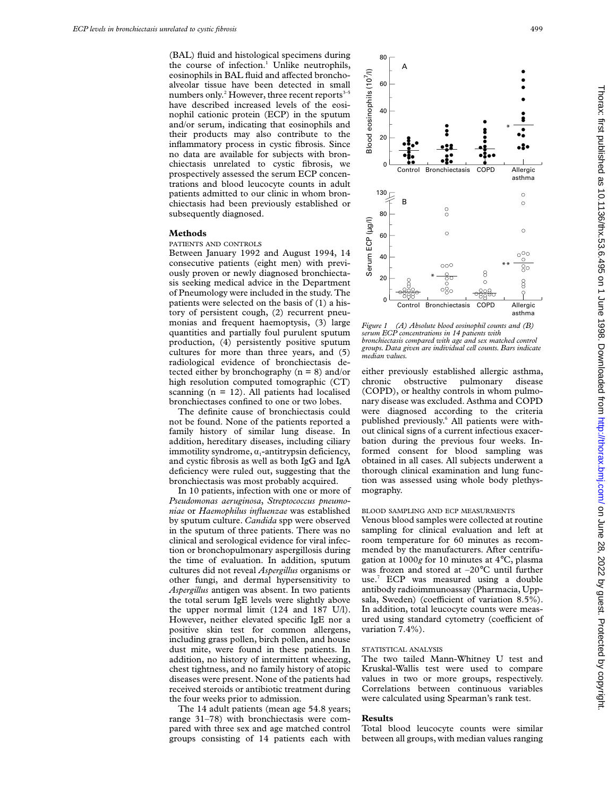(BAL) fluid and histological specimens during the course of infection.<sup>1</sup> Unlike neutrophils, eosinophils in BAL fluid and affected bronchoalveolar tissue have been detected in small numbers only.<sup>2</sup> However, three recent reports $3-5$ have described increased levels of the eosinophil cationic protein (ECP) in the sputum and/or serum, indicating that eosinophils and their products may also contribute to the inflammatory process in cystic fibrosis. Since no data are available for subjects with bronchiectasis unrelated to cystic fibrosis, we prospectively assessed the serum ECP concentrations and blood leucocyte counts in adult patients admitted to our clinic in whom bronchiectasis had been previously established or subsequently diagnosed.

### **Methods**

#### PATIENTS AND CONTROLS

Between January 1992 and August 1994, 14 consecutive patients (eight men) with previously proven or newly diagnosed bronchiectasis seeking medical advice in the Department of Pneumology were included in the study. The patients were selected on the basis of (1) a history of persistent cough, (2) recurrent pneumonias and frequent haemoptysis, (3) large quantities and partially foul purulent sputum production, (4) persistently positive sputum cultures for more than three years, and (5) radiological evidence of bronchiectasis detected either by bronchography  $(n = 8)$  and/or high resolution computed tomographic (CT) scanning  $(n = 12)$ . All patients had localised bronchiectases confined to one or two lobes.

The definite cause of bronchiectasis could not be found. None of the patients reported a family history of similar lung disease. In addition, hereditary diseases, including ciliary immotility syndrome,  $\alpha_1$ -antitrypsin deficiency, and cystic fibrosis as well as both IgG and IgA deficiency were ruled out, suggesting that the bronchiectasis was most probably acquired.

In 10 patients, infection with one or more of *Pseudomonas aeruginosa*, *Streptococcus pneumoniae* or *Haemophilus influenzae* was established by sputum culture. *Candida* spp were observed in the sputum of three patients. There was no clinical and serological evidence for viral infection or bronchopulmonary aspergillosis during the time of evaluation. In addition, sputum cultures did not reveal *Aspergillus* organisms or other fungi, and dermal hypersensitivity to *Aspergillus* antigen was absent. In two patients the total serum IgE levels were slightly above the upper normal limit (124 and 187 U/l). However, neither elevated specific IgE nor a positive skin test for common allergens, including grass pollen, birch pollen, and house dust mite, were found in these patients. In addition, no history of intermittent wheezing, chest tightness, and no family history of atopic diseases were present. None of the patients had received steroids or antibiotic treatment during the four weeks prior to admission.

The 14 adult patients (mean age 54.8 years; range 31–78) with bronchiectasis were compared with three sex and age matched control groups consisting of 14 patients each with



*Figure 1 (A) Absolute blood eosinophil counts and (B) serum ECP concentrations in 14 patients with bronchiectasis compared with age and sex matched control groups. Data given are individual cell counts. Bars indicate median values.*

either previously established allergic asthma, chronic obstructive pulmonary disease (COPD), or healthy controls in whom pulmonary disease was excluded. Asthma and COPD were diagnosed according to the criteria published previously.6 All patients were without clinical signs of a current infectious exacerbation during the previous four weeks. Informed consent for blood sampling was obtained in all cases. All subjects underwent a thorough clinical examination and lung function was assessed using whole body plethysmography.

# BLOOD SAMPLING AND ECP MEASURMENTS

Venous blood samples were collected at routine sampling for clinical evaluation and left at room temperature for 60 minutes as recommended by the manufacturers. After centrifugation at 1000*g* for 10 minutes at 4°C, plasma was frozen and stored at –20°C until further use.7 ECP was measured using a double antibody radioimmunoassay (Pharmacia, Uppsala, Sweden) (coefficient of variation 8.5%). In addition, total leucocyte counts were measured using standard cytometry (coefficient of variation 7.4%).

#### STATISTICAL ANALYSIS

The two tailed Mann-Whitney U test and Kruskal-Wallis test were used to compare values in two or more groups, respectively. Correlations between continuous variables were calculated using Spearman's rank test.

# **Results**

Total blood leucocyte counts were similar between all groups, with median values ranging